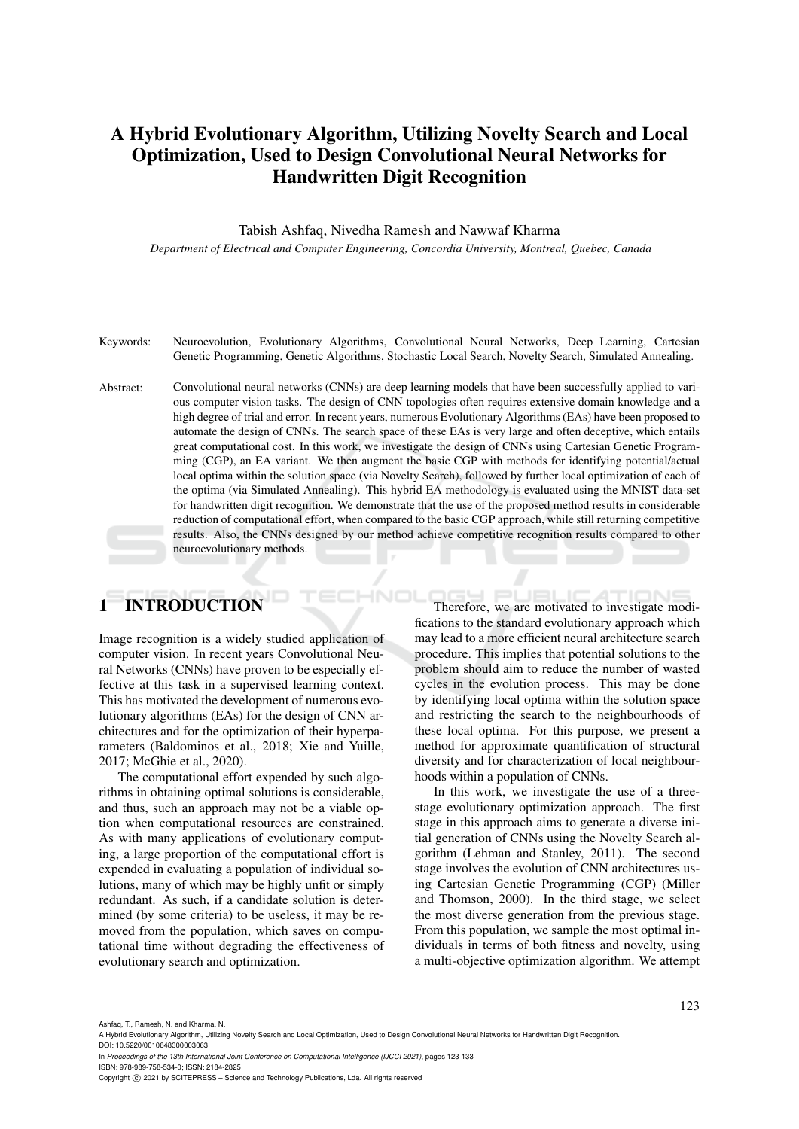# A Hybrid Evolutionary Algorithm, Utilizing Novelty Search and Local Optimization, Used to Design Convolutional Neural Networks for Handwritten Digit Recognition

Tabish Ashfaq, Nivedha Ramesh and Nawwaf Kharma

*Department of Electrical and Computer Engineering, Concordia University, Montreal, Quebec, Canada*

- Keywords: Neuroevolution, Evolutionary Algorithms, Convolutional Neural Networks, Deep Learning, Cartesian Genetic Programming, Genetic Algorithms, Stochastic Local Search, Novelty Search, Simulated Annealing.
- Abstract: Convolutional neural networks (CNNs) are deep learning models that have been successfully applied to various computer vision tasks. The design of CNN topologies often requires extensive domain knowledge and a high degree of trial and error. In recent years, numerous Evolutionary Algorithms (EAs) have been proposed to automate the design of CNNs. The search space of these EAs is very large and often deceptive, which entails great computational cost. In this work, we investigate the design of CNNs using Cartesian Genetic Programming (CGP), an EA variant. We then augment the basic CGP with methods for identifying potential/actual local optima within the solution space (via Novelty Search), followed by further local optimization of each of the optima (via Simulated Annealing). This hybrid EA methodology is evaluated using the MNIST data-set for handwritten digit recognition. We demonstrate that the use of the proposed method results in considerable reduction of computational effort, when compared to the basic CGP approach, while still returning competitive results. Also, the CNNs designed by our method achieve competitive recognition results compared to other neuroevolutionary methods.

# **INTRODUCTION**

Image recognition is a widely studied application of computer vision. In recent years Convolutional Neural Networks (CNNs) have proven to be especially effective at this task in a supervised learning context. This has motivated the development of numerous evolutionary algorithms (EAs) for the design of CNN architectures and for the optimization of their hyperparameters (Baldominos et al., 2018; Xie and Yuille, 2017; McGhie et al., 2020).

The computational effort expended by such algorithms in obtaining optimal solutions is considerable, and thus, such an approach may not be a viable option when computational resources are constrained. As with many applications of evolutionary computing, a large proportion of the computational effort is expended in evaluating a population of individual solutions, many of which may be highly unfit or simply redundant. As such, if a candidate solution is determined (by some criteria) to be useless, it may be removed from the population, which saves on computational time without degrading the effectiveness of evolutionary search and optimization.

Therefore, we are motivated to investigate modifications to the standard evolutionary approach which may lead to a more efficient neural architecture search procedure. This implies that potential solutions to the problem should aim to reduce the number of wasted cycles in the evolution process. This may be done by identifying local optima within the solution space and restricting the search to the neighbourhoods of these local optima. For this purpose, we present a method for approximate quantification of structural diversity and for characterization of local neighbourhoods within a population of CNNs.

In this work, we investigate the use of a threestage evolutionary optimization approach. The first stage in this approach aims to generate a diverse initial generation of CNNs using the Novelty Search algorithm (Lehman and Stanley, 2011). The second stage involves the evolution of CNN architectures using Cartesian Genetic Programming (CGP) (Miller and Thomson, 2000). In the third stage, we select the most diverse generation from the previous stage. From this population, we sample the most optimal individuals in terms of both fitness and novelty, using a multi-objective optimization algorithm. We attempt

Ashfaq, T., Ramesh, N. and Kharma, N.

ISBN: 978-989-758-534-0; ISSN: 2184-2825

A Hybrid Evolutionary Algorithm, Utilizing Novelty Search and Local Optimization, Used to Design Convolutional Neural Networks for Handwritten Digit Recognition. DOI: 10.5220/0010648300003063

In *Proceedings of the 13th International Joint Conference on Computational Intelligence (IJCCI 2021)*, pages 123-133

Copyright (C) 2021 by SCITEPRESS - Science and Technology Publications, Lda. All rights reserved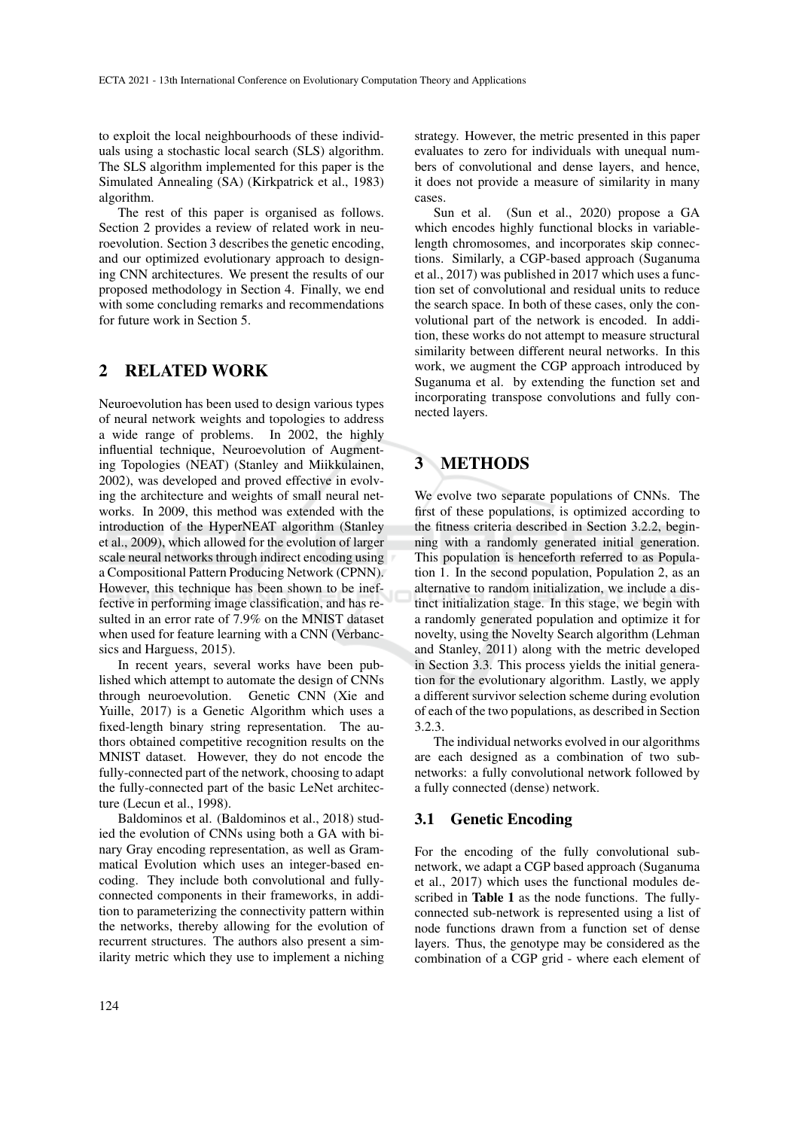to exploit the local neighbourhoods of these individuals using a stochastic local search (SLS) algorithm. The SLS algorithm implemented for this paper is the Simulated Annealing (SA) (Kirkpatrick et al., 1983) algorithm.

The rest of this paper is organised as follows. Section 2 provides a review of related work in neuroevolution. Section 3 describes the genetic encoding, and our optimized evolutionary approach to designing CNN architectures. We present the results of our proposed methodology in Section 4. Finally, we end with some concluding remarks and recommendations for future work in Section 5.

# 2 RELATED WORK

Neuroevolution has been used to design various types of neural network weights and topologies to address a wide range of problems. In 2002, the highly influential technique, Neuroevolution of Augmenting Topologies (NEAT) (Stanley and Miikkulainen, 2002), was developed and proved effective in evolving the architecture and weights of small neural networks. In 2009, this method was extended with the introduction of the HyperNEAT algorithm (Stanley et al., 2009), which allowed for the evolution of larger scale neural networks through indirect encoding using a Compositional Pattern Producing Network (CPNN). However, this technique has been shown to be ineffective in performing image classification, and has resulted in an error rate of 7.9% on the MNIST dataset when used for feature learning with a CNN (Verbancsics and Harguess, 2015).

In recent years, several works have been published which attempt to automate the design of CNNs through neuroevolution. Genetic CNN (Xie and Yuille, 2017) is a Genetic Algorithm which uses a fixed-length binary string representation. The authors obtained competitive recognition results on the MNIST dataset. However, they do not encode the fully-connected part of the network, choosing to adapt the fully-connected part of the basic LeNet architecture (Lecun et al., 1998).

Baldominos et al. (Baldominos et al., 2018) studied the evolution of CNNs using both a GA with binary Gray encoding representation, as well as Grammatical Evolution which uses an integer-based encoding. They include both convolutional and fullyconnected components in their frameworks, in addition to parameterizing the connectivity pattern within the networks, thereby allowing for the evolution of recurrent structures. The authors also present a similarity metric which they use to implement a niching strategy. However, the metric presented in this paper evaluates to zero for individuals with unequal numbers of convolutional and dense layers, and hence, it does not provide a measure of similarity in many cases.

Sun et al. (Sun et al., 2020) propose a GA which encodes highly functional blocks in variablelength chromosomes, and incorporates skip connections. Similarly, a CGP-based approach (Suganuma et al., 2017) was published in 2017 which uses a function set of convolutional and residual units to reduce the search space. In both of these cases, only the convolutional part of the network is encoded. In addition, these works do not attempt to measure structural similarity between different neural networks. In this work, we augment the CGP approach introduced by Suganuma et al. by extending the function set and incorporating transpose convolutions and fully connected layers.

# 3 METHODS

We evolve two separate populations of CNNs. The first of these populations, is optimized according to the fitness criteria described in Section 3.2.2, beginning with a randomly generated initial generation. This population is henceforth referred to as Population 1. In the second population, Population 2, as an alternative to random initialization, we include a distinct initialization stage. In this stage, we begin with a randomly generated population and optimize it for novelty, using the Novelty Search algorithm (Lehman and Stanley, 2011) along with the metric developed in Section 3.3. This process yields the initial generation for the evolutionary algorithm. Lastly, we apply a different survivor selection scheme during evolution of each of the two populations, as described in Section 3.2.3.

The individual networks evolved in our algorithms are each designed as a combination of two subnetworks: a fully convolutional network followed by a fully connected (dense) network.

### 3.1 Genetic Encoding

For the encoding of the fully convolutional subnetwork, we adapt a CGP based approach (Suganuma et al., 2017) which uses the functional modules described in Table 1 as the node functions. The fullyconnected sub-network is represented using a list of node functions drawn from a function set of dense layers. Thus, the genotype may be considered as the combination of a CGP grid - where each element of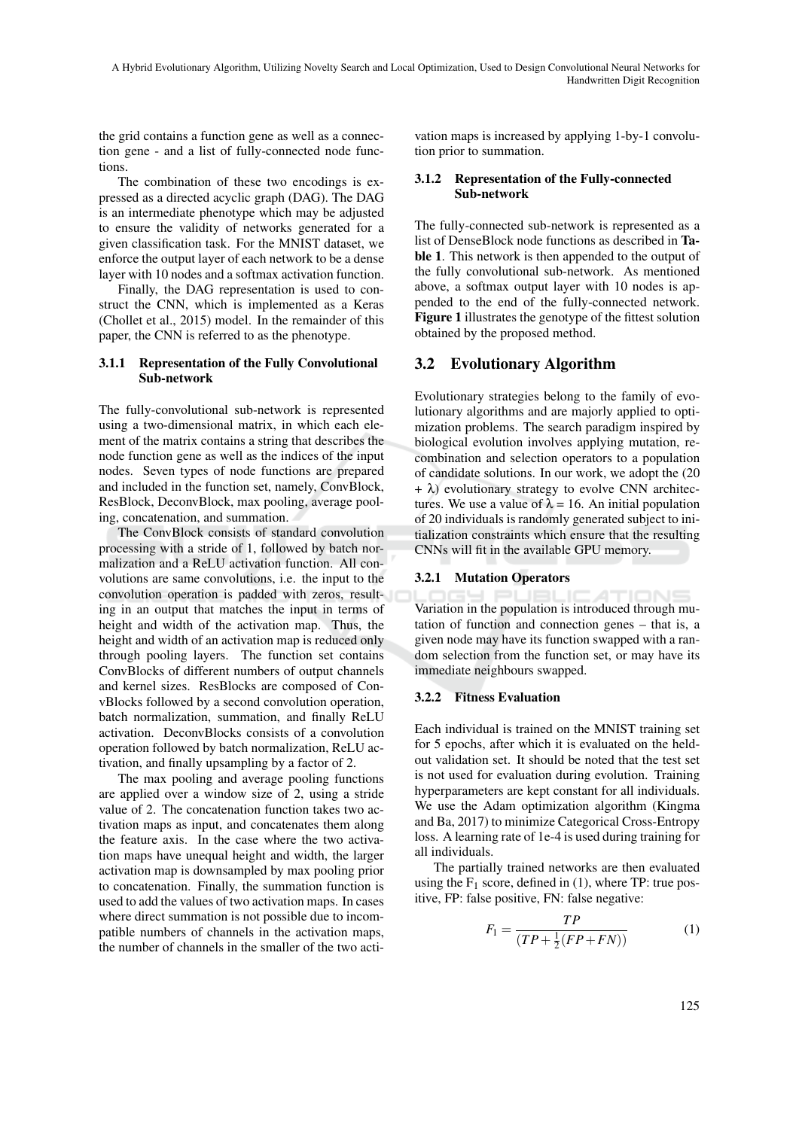the grid contains a function gene as well as a connection gene - and a list of fully-connected node functions.

The combination of these two encodings is expressed as a directed acyclic graph (DAG). The DAG is an intermediate phenotype which may be adjusted to ensure the validity of networks generated for a given classification task. For the MNIST dataset, we enforce the output layer of each network to be a dense layer with 10 nodes and a softmax activation function.

Finally, the DAG representation is used to construct the CNN, which is implemented as a Keras (Chollet et al., 2015) model. In the remainder of this paper, the CNN is referred to as the phenotype.

#### 3.1.1 Representation of the Fully Convolutional Sub-network

The fully-convolutional sub-network is represented using a two-dimensional matrix, in which each element of the matrix contains a string that describes the node function gene as well as the indices of the input nodes. Seven types of node functions are prepared and included in the function set, namely, ConvBlock, ResBlock, DeconvBlock, max pooling, average pooling, concatenation, and summation.

The ConvBlock consists of standard convolution processing with a stride of 1, followed by batch normalization and a ReLU activation function. All convolutions are same convolutions, i.e. the input to the convolution operation is padded with zeros, resulting in an output that matches the input in terms of height and width of the activation map. Thus, the height and width of an activation map is reduced only through pooling layers. The function set contains ConvBlocks of different numbers of output channels and kernel sizes. ResBlocks are composed of ConvBlocks followed by a second convolution operation, batch normalization, summation, and finally ReLU activation. DeconvBlocks consists of a convolution operation followed by batch normalization, ReLU activation, and finally upsampling by a factor of 2.

The max pooling and average pooling functions are applied over a window size of 2, using a stride value of 2. The concatenation function takes two activation maps as input, and concatenates them along the feature axis. In the case where the two activation maps have unequal height and width, the larger activation map is downsampled by max pooling prior to concatenation. Finally, the summation function is used to add the values of two activation maps. In cases where direct summation is not possible due to incompatible numbers of channels in the activation maps, the number of channels in the smaller of the two activation maps is increased by applying 1-by-1 convolution prior to summation.

#### 3.1.2 Representation of the Fully-connected Sub-network

The fully-connected sub-network is represented as a list of DenseBlock node functions as described in Table 1. This network is then appended to the output of the fully convolutional sub-network. As mentioned above, a softmax output layer with 10 nodes is appended to the end of the fully-connected network. Figure 1 illustrates the genotype of the fittest solution obtained by the proposed method.

### 3.2 Evolutionary Algorithm

Evolutionary strategies belong to the family of evolutionary algorithms and are majorly applied to optimization problems. The search paradigm inspired by biological evolution involves applying mutation, recombination and selection operators to a population of candidate solutions. In our work, we adopt the (20  $+ \lambda$ ) evolutionary strategy to evolve CNN architectures. We use a value of  $\lambda = 16$ . An initial population of 20 individuals is randomly generated subject to initialization constraints which ensure that the resulting CNNs will fit in the available GPU memory.

#### 3.2.1 Mutation Operators

Variation in the population is introduced through mutation of function and connection genes – that is, a given node may have its function swapped with a random selection from the function set, or may have its immediate neighbours swapped.

#### 3.2.2 Fitness Evaluation

Each individual is trained on the MNIST training set for 5 epochs, after which it is evaluated on the heldout validation set. It should be noted that the test set is not used for evaluation during evolution. Training hyperparameters are kept constant for all individuals. We use the Adam optimization algorithm (Kingma and Ba, 2017) to minimize Categorical Cross-Entropy loss. A learning rate of 1e-4 is used during training for all individuals.

The partially trained networks are then evaluated using the  $F_1$  score, defined in (1), where TP: true positive, FP: false positive, FN: false negative:

$$
F_1 = \frac{TP}{(TP + \frac{1}{2}(FP + FN))}
$$
 (1)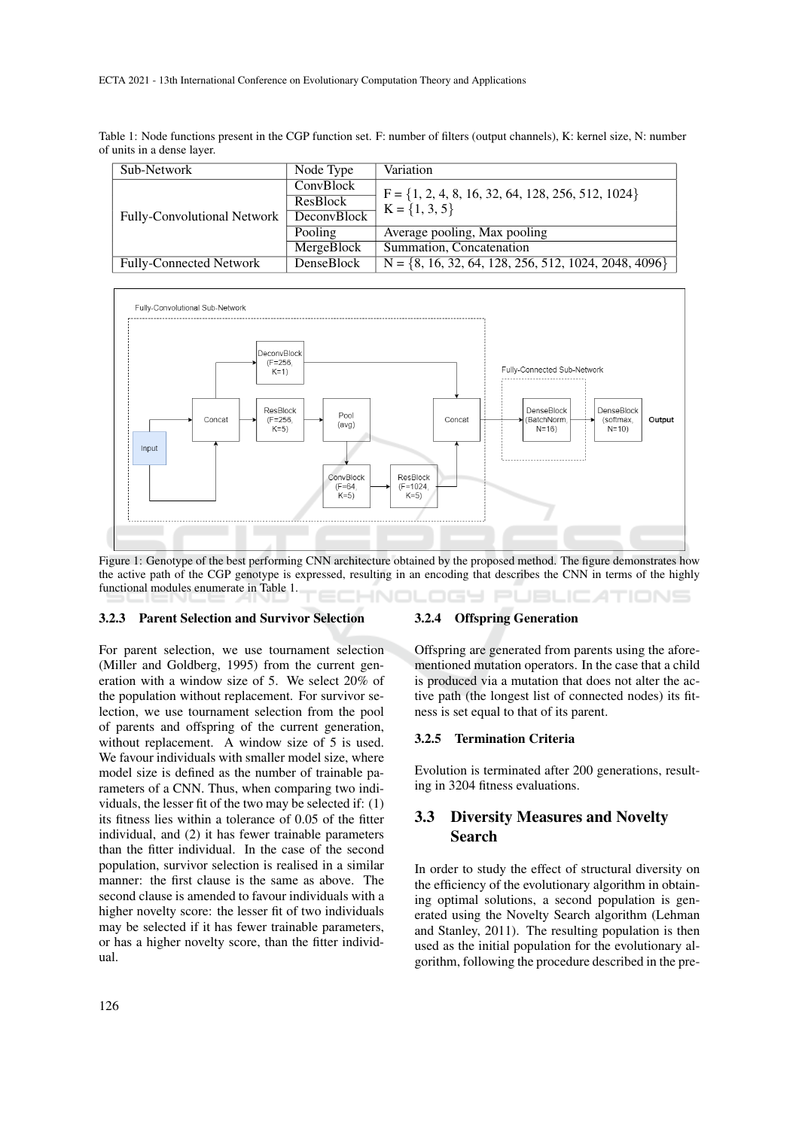Table 1: Node functions present in the CGP function set. F: number of filters (output channels), K: kernel size, N: number of units in a dense layer.

| Sub-Network                    | Node Type                                   | Variation                                                                  |  |
|--------------------------------|---------------------------------------------|----------------------------------------------------------------------------|--|
| Fully-Convolutional Network    | ConvBlock<br>ResBlock<br><b>DeconvBlock</b> | $F = \{1, 2, 4, 8, 16, 32, 64, 128, 256, 512, 1024\}$<br>$K = \{1, 3, 5\}$ |  |
|                                | Pooling                                     | Average pooling, Max pooling                                               |  |
|                                | MergeBlock                                  | Summation, Concatenation                                                   |  |
| <b>Fully-Connected Network</b> | DenseBlock                                  | $N = \{8, 16, 32, 64, 128, 256, 512, 1024, 2048, 4096\}$                   |  |



Figure 1: Genotype of the best performing CNN architecture obtained by the proposed method. The figure demonstrates how the active path of the CGP genotype is expressed, resulting in an encoding that describes the CNN in terms of the highly functional modules enumerate in Table 1. INOLOGY PUBLICATIONS

#### 3.2.3 Parent Selection and Survivor Selection

For parent selection, we use tournament selection (Miller and Goldberg, 1995) from the current generation with a window size of 5. We select 20% of the population without replacement. For survivor selection, we use tournament selection from the pool of parents and offspring of the current generation, without replacement. A window size of 5 is used. We favour individuals with smaller model size, where model size is defined as the number of trainable parameters of a CNN. Thus, when comparing two individuals, the lesser fit of the two may be selected if: (1) its fitness lies within a tolerance of 0.05 of the fitter individual, and (2) it has fewer trainable parameters than the fitter individual. In the case of the second population, survivor selection is realised in a similar manner: the first clause is the same as above. The second clause is amended to favour individuals with a higher novelty score: the lesser fit of two individuals may be selected if it has fewer trainable parameters, or has a higher novelty score, than the fitter individual.

#### 3.2.4 Offspring Generation

Offspring are generated from parents using the aforementioned mutation operators. In the case that a child is produced via a mutation that does not alter the active path (the longest list of connected nodes) its fitness is set equal to that of its parent.

#### 3.2.5 Termination Criteria

Evolution is terminated after 200 generations, resulting in 3204 fitness evaluations.

## 3.3 Diversity Measures and Novelty Search

In order to study the effect of structural diversity on the efficiency of the evolutionary algorithm in obtaining optimal solutions, a second population is generated using the Novelty Search algorithm (Lehman and Stanley, 2011). The resulting population is then used as the initial population for the evolutionary algorithm, following the procedure described in the pre-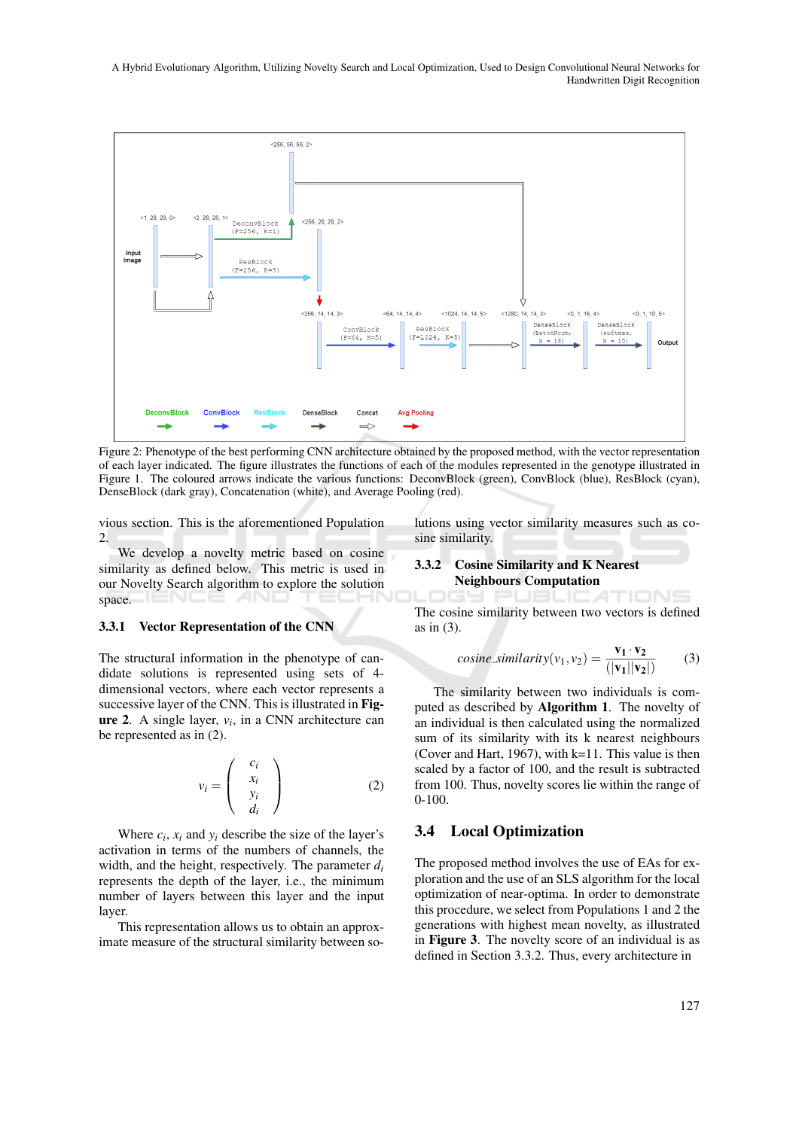

Figure 2: Phenotype of the best performing CNN architecture obtained by the proposed method, with the vector representation of each layer indicated. The figure illustrates the functions of each of the modules represented in the genotype illustrated in Figure 1. The coloured arrows indicate the various functions: DeconvBlock (green), ConvBlock (blue), ResBlock (cyan), DenseBlock (dark gray), Concatenation (white), and Average Pooling (red).

vious section. This is the aforementioned Population 2.

We develop a novelty metric based on cosine similarity as defined below. This metric is used in our Novelty Search algorithm to explore the solution space.

#### 3.3.1 Vector Representation of the CNN

The structural information in the phenotype of candidate solutions is represented using sets of 4 dimensional vectors, where each vector represents a successive layer of the CNN. This is illustrated in Fig**ure 2.** A single layer,  $v_i$ , in a CNN architecture can be represented as in (2).

$$
v_i = \begin{pmatrix} c_i \\ x_i \\ y_i \\ d_i \end{pmatrix}
$$
 (2)

Where  $c_i$ ,  $x_i$  and  $y_i$  describe the size of the layer's activation in terms of the numbers of channels, the width, and the height, respectively. The parameter *d<sup>i</sup>* represents the depth of the layer, i.e., the minimum number of layers between this layer and the input layer.

This representation allows us to obtain an approximate measure of the structural similarity between solutions using vector similarity measures such as cosine similarity.

#### 3.3.2 Cosine Similarity and K Nearest Neighbours Computation

1TIONS The cosine similarity between two vectors is defined as in (3).

$$
cosine\_similarity(v_1, v_2) = \frac{\mathbf{v_1} \cdot \mathbf{v_2}}{(|\mathbf{v_1}||\mathbf{v_2}|)}
$$
(3)

The similarity between two individuals is computed as described by Algorithm 1. The novelty of an individual is then calculated using the normalized sum of its similarity with its k nearest neighbours (Cover and Hart, 1967), with k=11. This value is then scaled by a factor of 100, and the result is subtracted from 100. Thus, novelty scores lie within the range of 0-100.

### 3.4 Local Optimization

The proposed method involves the use of EAs for exploration and the use of an SLS algorithm for the local optimization of near-optima. In order to demonstrate this procedure, we select from Populations 1 and 2 the generations with highest mean novelty, as illustrated in Figure 3. The novelty score of an individual is as defined in Section 3.3.2. Thus, every architecture in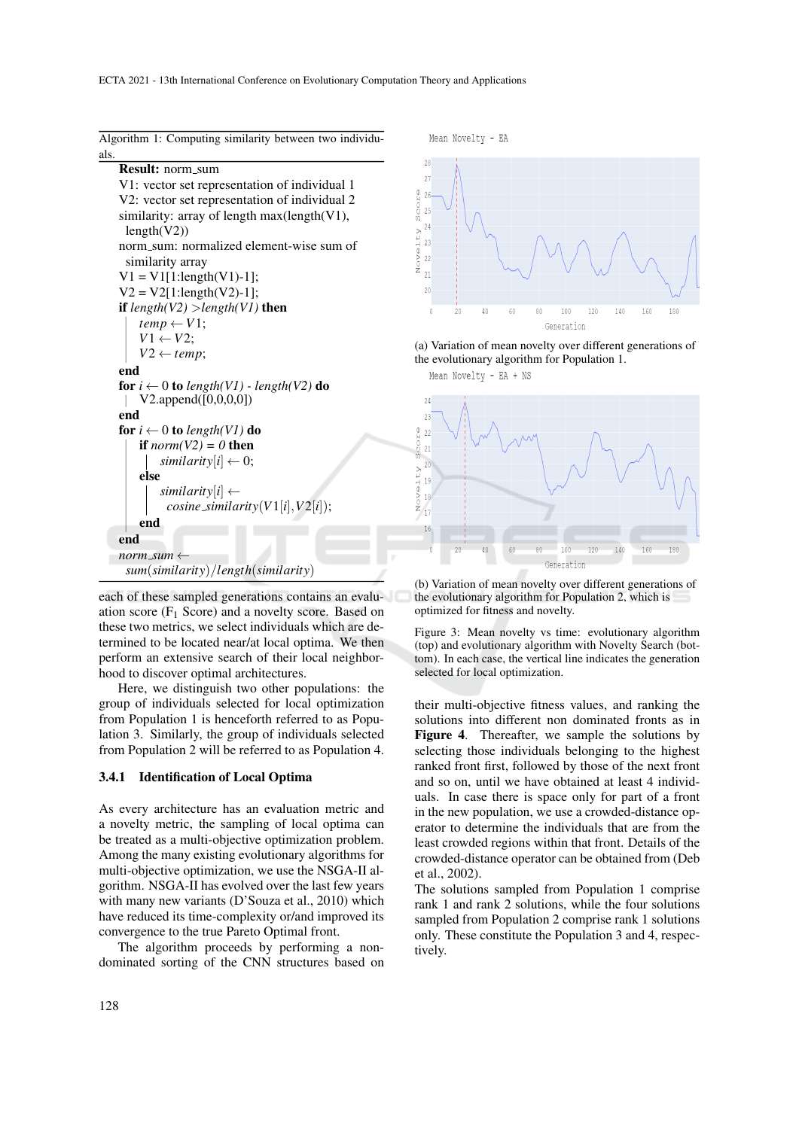| ٠.                                                 |
|----------------------------------------------------|
| Result: norm_sum                                   |
| V1: vector set representation of individual 1      |
| V2: vector set representation of individual 2      |
| similarity: array of length max(length(V1),        |
| length(V2))                                        |
| norm_sum: normalized element-wise sum of           |
| similarity array                                   |
| $V1 = V1[1:length(V1)-1];$                         |
| $V2 = V2[1:length(V2)-1];$                         |
| if $length(V2) > length(V1)$ then                  |
| $temp \leftarrow V1$ ;                             |
| $V1 \leftarrow V2$ ;                               |
| $V2 \leftarrow temp;$                              |
| end                                                |
| for $i \leftarrow 0$ to length(V1) - length(V2) do |
| V2.append([0,0,0,0])                               |
| end                                                |
| for $i \leftarrow 0$ to length(V1) do              |
| if $norm(V2) = 0$ then                             |
| similarity $[i] \leftarrow 0;$                     |
| else                                               |
| similarity $[i] \leftarrow$                        |
| $cosine\_similarity(V1[i], V2[i]);$                |
| end                                                |
| end                                                |
| norm_sum $\leftarrow$                              |
| sum(similarity)/length(similarity)                 |
|                                                    |

Algorithm 1: Computing similarity between two individuals.

each of these sampled generations contains an evaluation score  $(F_1$  Score) and a novelty score. Based on these two metrics, we select individuals which are determined to be located near/at local optima. We then perform an extensive search of their local neighborhood to discover optimal architectures.

Here, we distinguish two other populations: the group of individuals selected for local optimization from Population 1 is henceforth referred to as Population 3. Similarly, the group of individuals selected from Population 2 will be referred to as Population 4.

#### 3.4.1 Identification of Local Optima

As every architecture has an evaluation metric and a novelty metric, the sampling of local optima can be treated as a multi-objective optimization problem. Among the many existing evolutionary algorithms for multi-objective optimization, we use the NSGA-II algorithm. NSGA-II has evolved over the last few years with many new variants (D'Souza et al., 2010) which have reduced its time-complexity or/and improved its convergence to the true Pareto Optimal front.

The algorithm proceeds by performing a nondominated sorting of the CNN structures based on





(a) Variation of mean novelty over different generations of the evolutionary algorithm for Population 1.

Mean Novelty - EA + NS



(b) Variation of mean novelty over different generations of the evolutionary algorithm for Population 2, which is optimized for fitness and novelty.

Figure 3: Mean novelty vs time: evolutionary algorithm (top) and evolutionary algorithm with Novelty Search (bottom). In each case, the vertical line indicates the generation selected for local optimization.

their multi-objective fitness values, and ranking the solutions into different non dominated fronts as in Figure 4. Thereafter, we sample the solutions by selecting those individuals belonging to the highest ranked front first, followed by those of the next front and so on, until we have obtained at least 4 individuals. In case there is space only for part of a front in the new population, we use a crowded-distance operator to determine the individuals that are from the least crowded regions within that front. Details of the crowded-distance operator can be obtained from (Deb et al., 2002).

The solutions sampled from Population 1 comprise rank 1 and rank 2 solutions, while the four solutions sampled from Population 2 comprise rank 1 solutions only. These constitute the Population 3 and 4, respectively.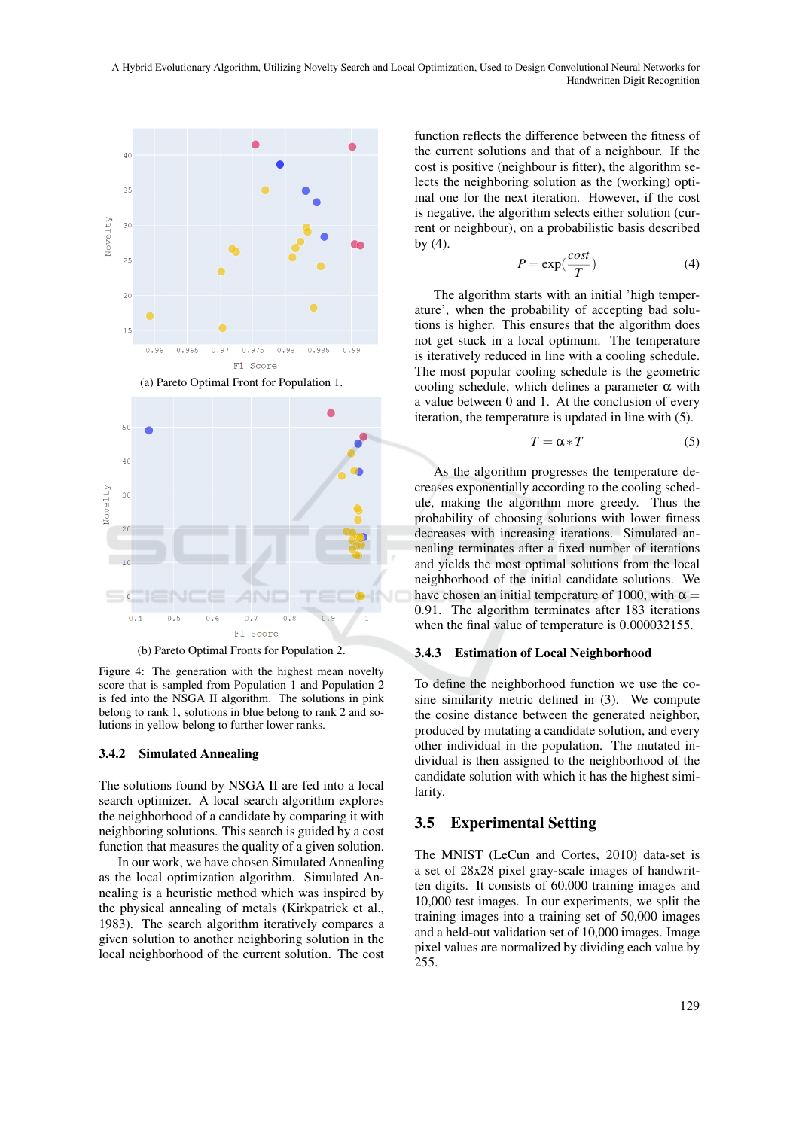

(b) Pareto Optimal Fronts for Population 2.

Figure 4: The generation with the highest mean novelty score that is sampled from Population 1 and Population 2 is fed into the NSGA II algorithm. The solutions in pink belong to rank 1, solutions in blue belong to rank 2 and solutions in yellow belong to further lower ranks.

#### 3.4.2 Simulated Annealing

The solutions found by NSGA II are fed into a local search optimizer. A local search algorithm explores the neighborhood of a candidate by comparing it with neighboring solutions. This search is guided by a cost function that measures the quality of a given solution.

In our work, we have chosen Simulated Annealing as the local optimization algorithm. Simulated Annealing is a heuristic method which was inspired by the physical annealing of metals (Kirkpatrick et al., 1983). The search algorithm iteratively compares a given solution to another neighboring solution in the local neighborhood of the current solution. The cost

function reflects the difference between the fitness of the current solutions and that of a neighbour. If the cost is positive (neighbour is fitter), the algorithm selects the neighboring solution as the (working) optimal one for the next iteration. However, if the cost is negative, the algorithm selects either solution (current or neighbour), on a probabilistic basis described by  $(4)$ .

$$
P = \exp(\frac{\cos t}{T})
$$
 (4)

The algorithm starts with an initial 'high temperature', when the probability of accepting bad solutions is higher. This ensures that the algorithm does not get stuck in a local optimum. The temperature is iteratively reduced in line with a cooling schedule. The most popular cooling schedule is the geometric cooling schedule, which defines a parameter  $\alpha$  with a value between 0 and 1. At the conclusion of every iteration, the temperature is updated in line with (5).

$$
T = \alpha \ast T \tag{5}
$$

As the algorithm progresses the temperature decreases exponentially according to the cooling schedule, making the algorithm more greedy. Thus the probability of choosing solutions with lower fitness decreases with increasing iterations. Simulated annealing terminates after a fixed number of iterations and yields the most optimal solutions from the local neighborhood of the initial candidate solutions. We have chosen an initial temperature of 1000, with  $\alpha =$ 0.91. The algorithm terminates after 183 iterations when the final value of temperature is 0.000032155.

#### 3.4.3 Estimation of Local Neighborhood

To define the neighborhood function we use the cosine similarity metric defined in (3). We compute the cosine distance between the generated neighbor, produced by mutating a candidate solution, and every other individual in the population. The mutated individual is then assigned to the neighborhood of the candidate solution with which it has the highest similarity.

### 3.5 Experimental Setting

The MNIST (LeCun and Cortes, 2010) data-set is a set of 28x28 pixel gray-scale images of handwritten digits. It consists of 60,000 training images and 10,000 test images. In our experiments, we split the training images into a training set of 50,000 images and a held-out validation set of 10,000 images. Image pixel values are normalized by dividing each value by 255.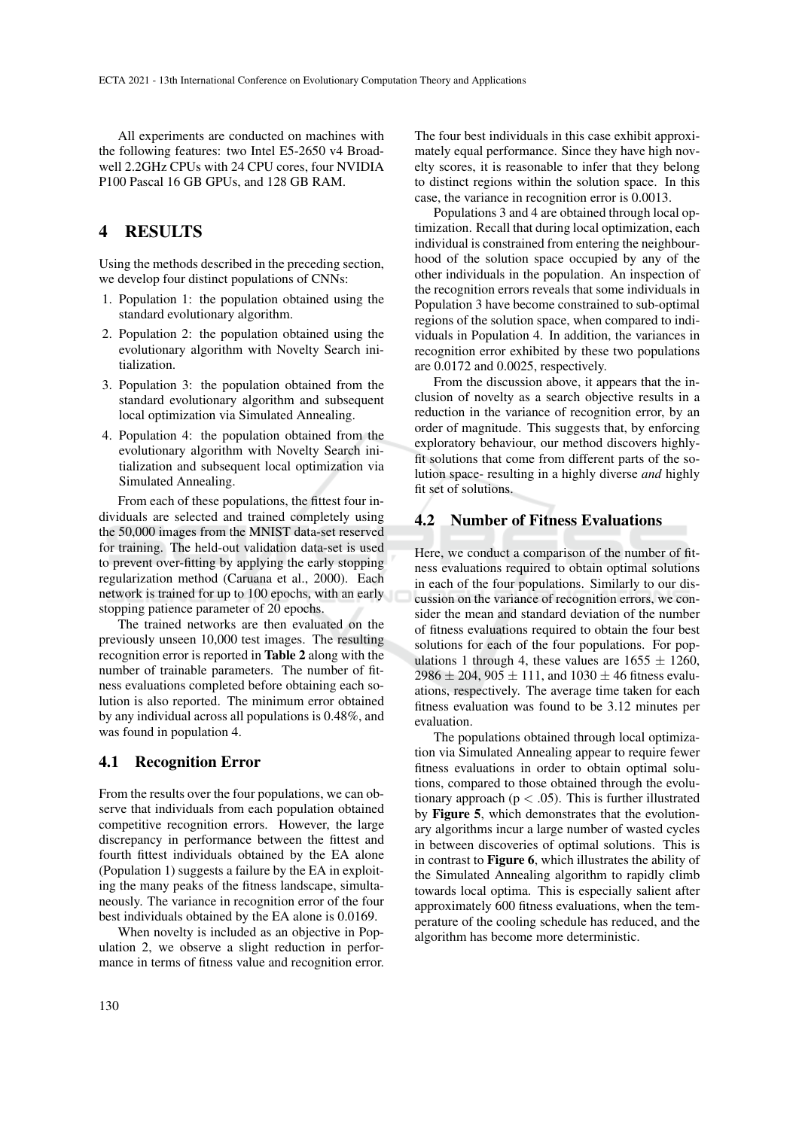All experiments are conducted on machines with the following features: two Intel E5-2650 v4 Broadwell 2.2GHz CPUs with 24 CPU cores, four NVIDIA P100 Pascal 16 GB GPUs, and 128 GB RAM.

# 4 RESULTS

Using the methods described in the preceding section, we develop four distinct populations of CNNs:

- 1. Population 1: the population obtained using the standard evolutionary algorithm.
- 2. Population 2: the population obtained using the evolutionary algorithm with Novelty Search initialization.
- 3. Population 3: the population obtained from the standard evolutionary algorithm and subsequent local optimization via Simulated Annealing.
- 4. Population 4: the population obtained from the evolutionary algorithm with Novelty Search initialization and subsequent local optimization via Simulated Annealing.

From each of these populations, the fittest four individuals are selected and trained completely using the 50,000 images from the MNIST data-set reserved for training. The held-out validation data-set is used to prevent over-fitting by applying the early stopping regularization method (Caruana et al., 2000). Each network is trained for up to 100 epochs, with an early stopping patience parameter of 20 epochs.

The trained networks are then evaluated on the previously unseen 10,000 test images. The resulting recognition error is reported in Table 2 along with the number of trainable parameters. The number of fitness evaluations completed before obtaining each solution is also reported. The minimum error obtained by any individual across all populations is 0.48%, and was found in population 4.

### 4.1 Recognition Error

From the results over the four populations, we can observe that individuals from each population obtained competitive recognition errors. However, the large discrepancy in performance between the fittest and fourth fittest individuals obtained by the EA alone (Population 1) suggests a failure by the EA in exploiting the many peaks of the fitness landscape, simultaneously. The variance in recognition error of the four best individuals obtained by the EA alone is 0.0169.

When novelty is included as an objective in Population 2, we observe a slight reduction in performance in terms of fitness value and recognition error. The four best individuals in this case exhibit approximately equal performance. Since they have high novelty scores, it is reasonable to infer that they belong to distinct regions within the solution space. In this case, the variance in recognition error is 0.0013.

Populations 3 and 4 are obtained through local optimization. Recall that during local optimization, each individual is constrained from entering the neighbourhood of the solution space occupied by any of the other individuals in the population. An inspection of the recognition errors reveals that some individuals in Population 3 have become constrained to sub-optimal regions of the solution space, when compared to individuals in Population 4. In addition, the variances in recognition error exhibited by these two populations are 0.0172 and 0.0025, respectively.

From the discussion above, it appears that the inclusion of novelty as a search objective results in a reduction in the variance of recognition error, by an order of magnitude. This suggests that, by enforcing exploratory behaviour, our method discovers highlyfit solutions that come from different parts of the solution space- resulting in a highly diverse *and* highly fit set of solutions.

### 4.2 Number of Fitness Evaluations

Here, we conduct a comparison of the number of fitness evaluations required to obtain optimal solutions in each of the four populations. Similarly to our discussion on the variance of recognition errors, we consider the mean and standard deviation of the number of fitness evaluations required to obtain the four best solutions for each of the four populations. For populations 1 through 4, these values are  $1655 \pm 1260$ ,  $2986 \pm 204$ ,  $905 \pm 111$ , and  $1030 \pm 46$  fitness evaluations, respectively. The average time taken for each fitness evaluation was found to be 3.12 minutes per evaluation.

The populations obtained through local optimization via Simulated Annealing appear to require fewer fitness evaluations in order to obtain optimal solutions, compared to those obtained through the evolutionary approach ( $p < .05$ ). This is further illustrated by Figure 5, which demonstrates that the evolutionary algorithms incur a large number of wasted cycles in between discoveries of optimal solutions. This is in contrast to Figure 6, which illustrates the ability of the Simulated Annealing algorithm to rapidly climb towards local optima. This is especially salient after approximately 600 fitness evaluations, when the temperature of the cooling schedule has reduced, and the algorithm has become more deterministic.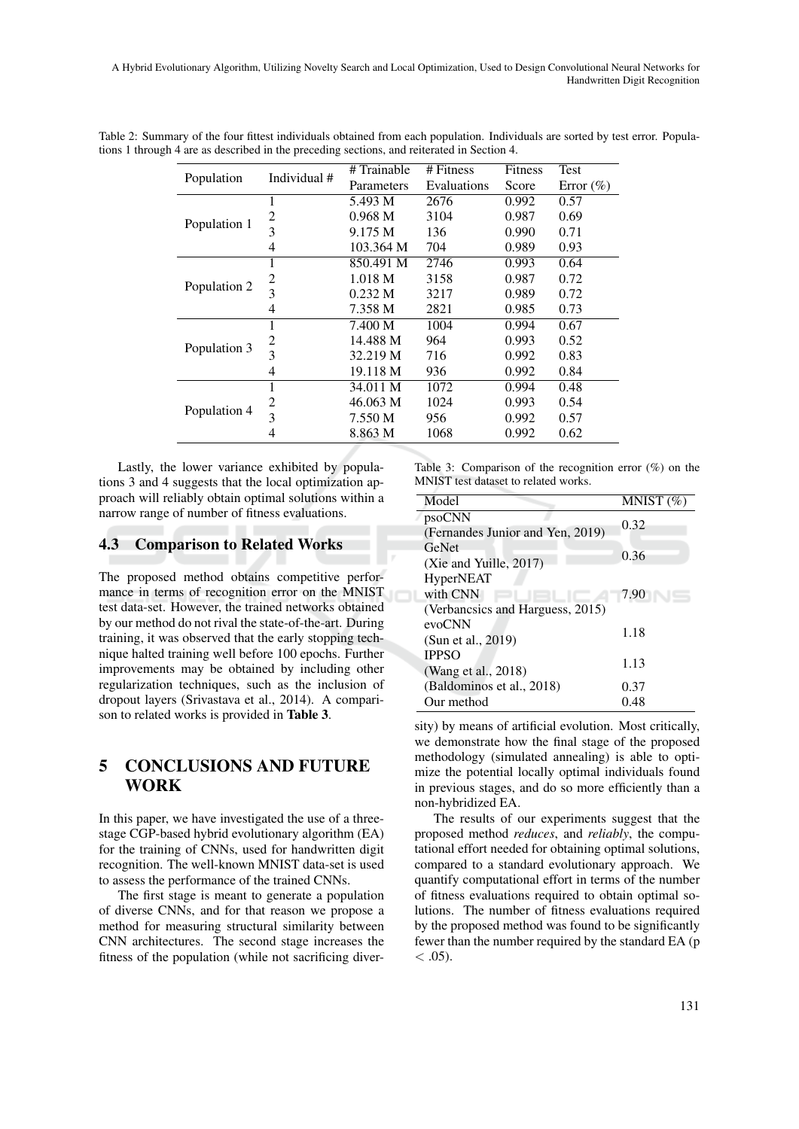| Population   | Individual #            | # Trainable        | # Fitness   | Fitness | Test          |
|--------------|-------------------------|--------------------|-------------|---------|---------------|
|              |                         | Parameters         | Evaluations | Score   | Error $(\% )$ |
| Population 1 | 1                       | 5.493 M            | 2676        | 0.992   | 0.57          |
|              | 2                       | 0.968 M            | 3104        | 0.987   | 0.69          |
|              | $\overline{3}$          | 9.175 M            | 136         | 0.990   | 0.71          |
|              | 4                       | 103.364 M          | 704         | 0.989   | 0.93          |
| Population 2 | 1                       | 850.491 M          | 2746        | 0.993   | 0.64          |
|              | 2                       | 1.018 <sub>M</sub> | 3158        | 0.987   | 0.72          |
|              | 3                       | 0.232 M            | 3217        | 0.989   | 0.72          |
|              | 4                       | 7.358 M            | 2821        | 0.985   | 0.73          |
| Population 3 | ı.                      | 7.400 M            | 1004        | 0.994   | 0.67          |
|              | 2                       | 14.488 M           | 964         | 0.993   | 0.52          |
|              | $\overline{\mathbf{3}}$ | 32.219 M           | 716         | 0.992   | 0.83          |
|              | 4                       | 19.118 M           | 936         | 0.992   | 0.84          |
| Population 4 | 1                       | 34.011 M           | 1072        | 0.994   | 0.48          |
|              | 2                       | 46.063 M           | 1024        | 0.993   | 0.54          |
|              | $\overline{3}$          | 7.550 M            | 956         | 0.992   | 0.57          |
|              | 4                       | 8.863 M            | 1068        | 0.992   | 0.62          |

Table 2: Summary of the four fittest individuals obtained from each population. Individuals are sorted by test error. Populations 1 through 4 are as described in the preceding sections, and reiterated in Section 4.

Lastly, the lower variance exhibited by populations 3 and 4 suggests that the local optimization approach will reliably obtain optimal solutions within a narrow range of number of fitness evaluations.

### 4.3 Comparison to Related Works

The proposed method obtains competitive performance in terms of recognition error on the MNIST test data-set. However, the trained networks obtained by our method do not rival the state-of-the-art. During training, it was observed that the early stopping technique halted training well before 100 epochs. Further improvements may be obtained by including other regularization techniques, such as the inclusion of dropout layers (Srivastava et al., 2014). A comparison to related works is provided in Table 3.

# 5 CONCLUSIONS AND FUTURE WORK

In this paper, we have investigated the use of a threestage CGP-based hybrid evolutionary algorithm (EA) for the training of CNNs, used for handwritten digit recognition. The well-known MNIST data-set is used to assess the performance of the trained CNNs.

The first stage is meant to generate a population of diverse CNNs, and for that reason we propose a method for measuring structural similarity between CNN architectures. The second stage increases the fitness of the population (while not sacrificing diverTable 3: Comparison of the recognition error (%) on the MNIST test dataset to related works.

| Model                            | MNIST $(\%)$ |  |
|----------------------------------|--------------|--|
| psoCNN                           | 0.32         |  |
| (Fernandes Junior and Yen, 2019) |              |  |
| GeNet                            | 0.36         |  |
| (Xie and Yuille, 2017)           |              |  |
| <b>HyperNEAT</b>                 |              |  |
| with CNN                         | 7.90         |  |
| (Verbancsics and Harguess, 2015) |              |  |
| evoCNN                           |              |  |
| (Sun et al., 2019)               | 1.18         |  |
| <b>IPPSO</b>                     |              |  |
| (Wang et al., 2018)              | 1.13         |  |
| (Baldominos et al., 2018)        | 0.37         |  |
| Our method                       | 0.48         |  |
|                                  |              |  |

sity) by means of artificial evolution. Most critically, we demonstrate how the final stage of the proposed methodology (simulated annealing) is able to optimize the potential locally optimal individuals found in previous stages, and do so more efficiently than a non-hybridized EA.

The results of our experiments suggest that the proposed method *reduces*, and *reliably*, the computational effort needed for obtaining optimal solutions, compared to a standard evolutionary approach. We quantify computational effort in terms of the number of fitness evaluations required to obtain optimal solutions. The number of fitness evaluations required by the proposed method was found to be significantly fewer than the number required by the standard EA (p  $<$  .05).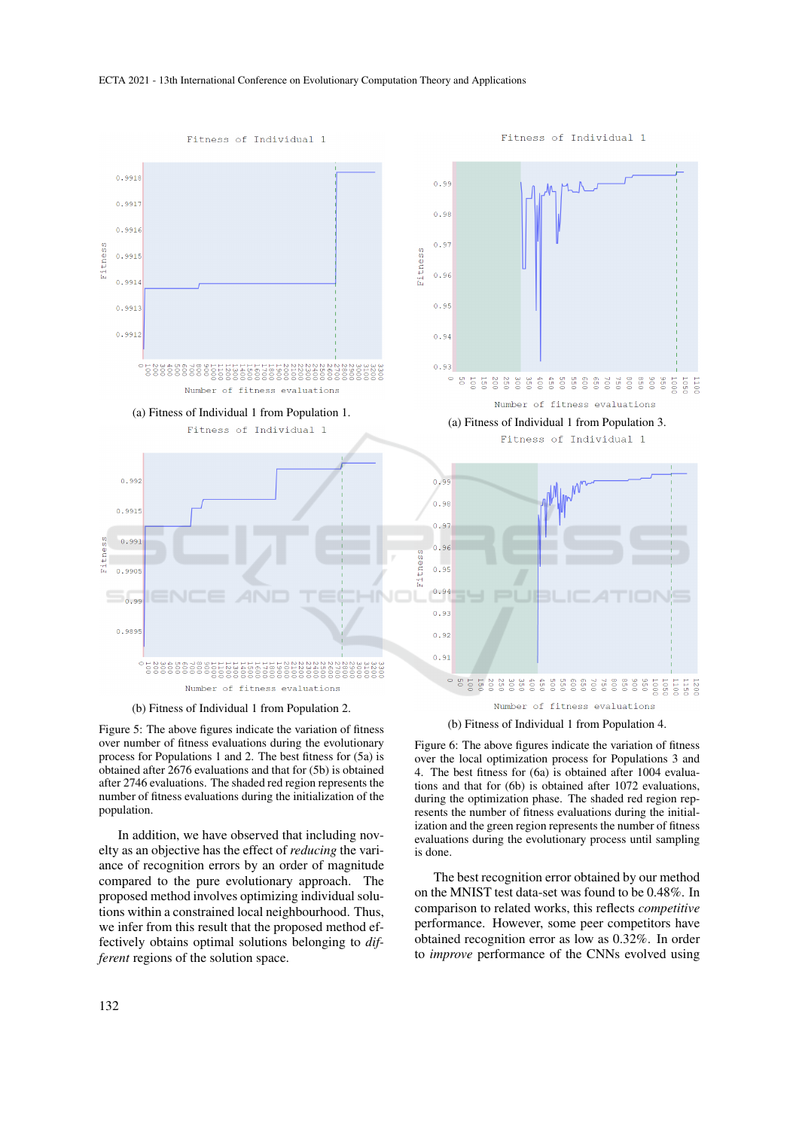

(b) Fitness of Individual 1 from Population 2.

Figure 5: The above figures indicate the variation of fitness over number of fitness evaluations during the evolutionary process for Populations 1 and 2. The best fitness for (5a) is obtained after 2676 evaluations and that for (5b) is obtained after 2746 evaluations. The shaded red region represents the number of fitness evaluations during the initialization of the population.

In addition, we have observed that including novelty as an objective has the effect of *reducing* the variance of recognition errors by an order of magnitude compared to the pure evolutionary approach. The proposed method involves optimizing individual solutions within a constrained local neighbourhood. Thus, we infer from this result that the proposed method effectively obtains optimal solutions belonging to *different* regions of the solution space.

(b) Fitness of Individual 1 from Population 4.

Figure 6: The above figures indicate the variation of fitness over the local optimization process for Populations 3 and 4. The best fitness for (6a) is obtained after 1004 evaluations and that for (6b) is obtained after 1072 evaluations, during the optimization phase. The shaded red region represents the number of fitness evaluations during the initialization and the green region represents the number of fitness evaluations during the evolutionary process until sampling is done.

The best recognition error obtained by our method on the MNIST test data-set was found to be 0.48%. In comparison to related works, this reflects *competitive* performance. However, some peer competitors have obtained recognition error as low as 0.32%. In order to *improve* performance of the CNNs evolved using